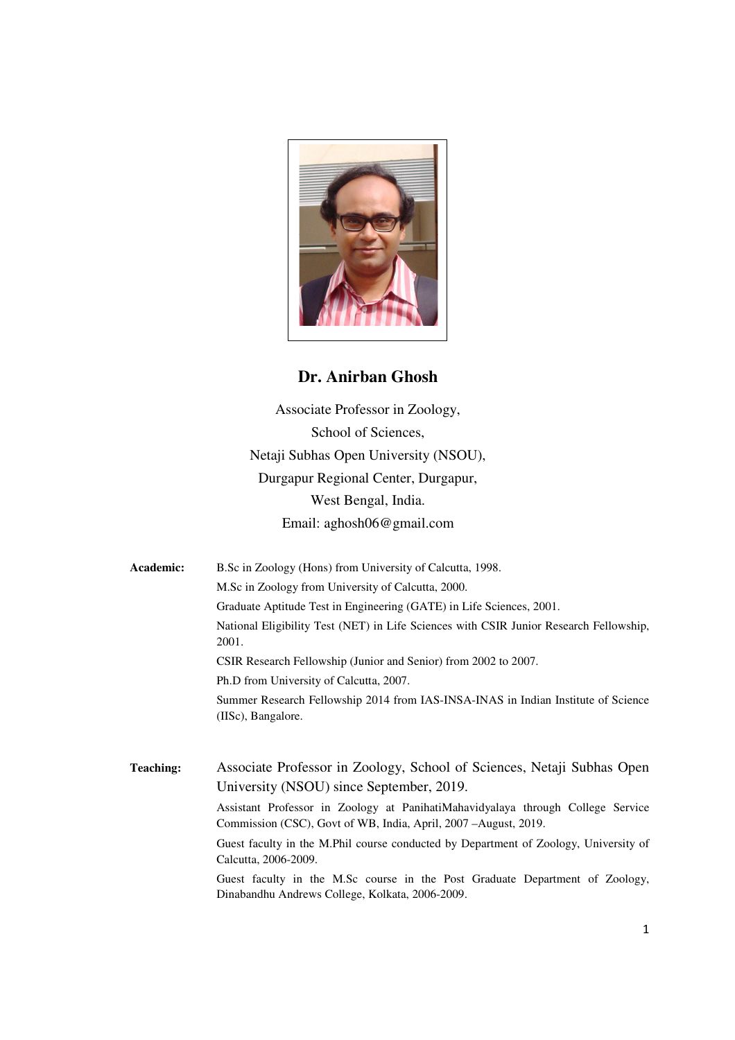

# **Dr. Anirban Ghosh**

Associate Professor in Zoology, School of Sciences, Netaji Subhas Open University (NSOU), Durgapur Regional Center, Durgapur, West Bengal, India. Email: aghosh06@gmail.com

**Academic:** B.Sc in Zoology (Hons) from University of Calcutta, 1998. M.Sc in Zoology from University of Calcutta, 2000. Graduate Aptitude Test in Engineering (GATE) in Life Sciences, 2001. National Eligibility Test (NET) in Life Sciences with CSIR Junior Research Fellowship, 2001. CSIR Research Fellowship (Junior and Senior) from 2002 to 2007. Ph.D from University of Calcutta, 2007. Summer Research Fellowship 2014 from IAS-INSA-INAS in Indian Institute of Science (IISc), Bangalore.

**Teaching:** Associate Professor in Zoology, School of Sciences, Netaji Subhas Open University (NSOU) since September, 2019.

> Assistant Professor in Zoology at PanihatiMahavidyalaya through College Service Commission (CSC), Govt of WB, India, April, 2007 –August, 2019.

> Guest faculty in the M.Phil course conducted by Department of Zoology, University of Calcutta, 2006-2009.

> Guest faculty in the M.Sc course in the Post Graduate Department of Zoology, Dinabandhu Andrews College, Kolkata, 2006-2009.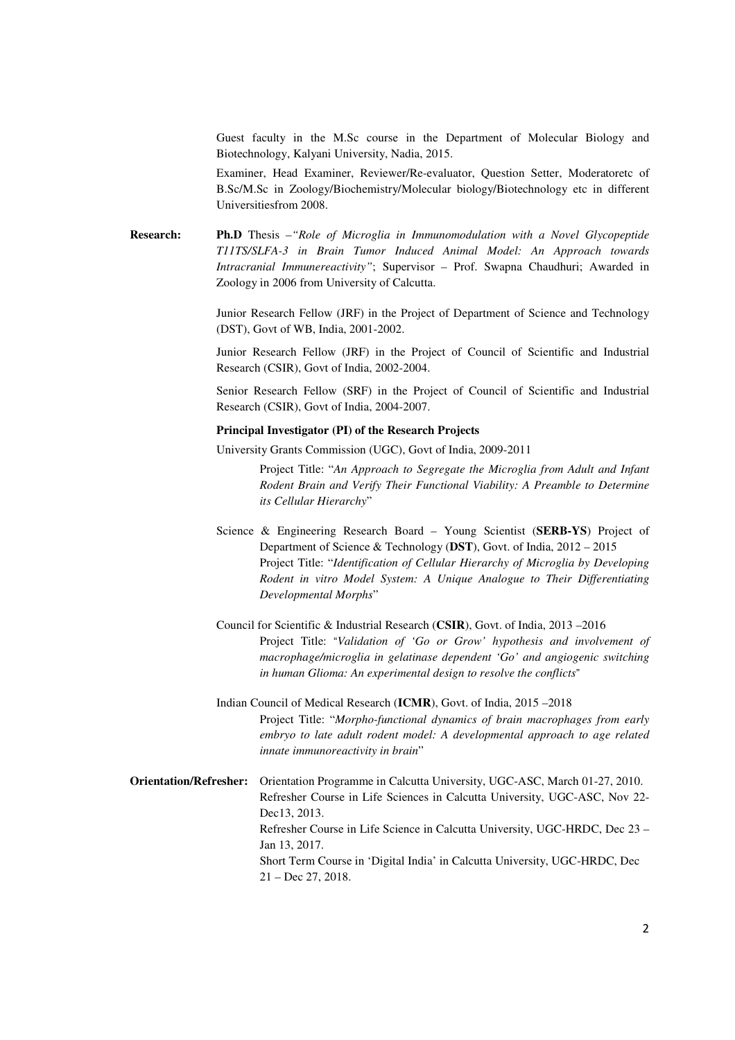Guest faculty in the M.Sc course in the Department of Molecular Biology and Biotechnology, Kalyani University, Nadia, 2015.

Examiner, Head Examiner, Reviewer/Re-evaluator, Question Setter, Moderatoretc of B.Sc/M.Sc in Zoology/Biochemistry/Molecular biology/Biotechnology etc in different Universitiesfrom 2008.

**Research: Ph.D** Thesis –*"Role of Microglia in Immunomodulation with a Novel Glycopeptide T11TS/SLFA-3 in Brain Tumor Induced Animal Model: An Approach towards Intracranial Immunereactivity"*; Supervisor – Prof. Swapna Chaudhuri; Awarded in Zoology in 2006 from University of Calcutta.

> Junior Research Fellow (JRF) in the Project of Department of Science and Technology (DST), Govt of WB, India, 2001-2002.

> Junior Research Fellow (JRF) in the Project of Council of Scientific and Industrial Research (CSIR), Govt of India, 2002-2004.

> Senior Research Fellow (SRF) in the Project of Council of Scientific and Industrial Research (CSIR), Govt of India, 2004-2007.

## **Principal Investigator (PI) of the Research Projects**

University Grants Commission (UGC), Govt of India, 2009-2011

Project Title: "*An Approach to Segregate the Microglia from Adult and Infant Rodent Brain and Verify Their Functional Viability: A Preamble to Determine its Cellular Hierarchy*"

- Science & Engineering Research Board Young Scientist (**SERB-YS**) Project of Department of Science & Technology (**DST**), Govt. of India, 2012 – 2015 Project Title: "*Identification of Cellular Hierarchy of Microglia by Developing Rodent in vitro Model System: A Unique Analogue to Their Differentiating Developmental Morphs*"
- Council for Scientific & Industrial Research (**CSIR**), Govt. of India, 2013 –2016 Project Title: "*Validation of 'Go or Grow' hypothesis and involvement of macrophage/microglia in gelatinase dependent 'Go' and angiogenic switching in human Glioma: An experimental design to resolve the conflicts*"

Indian Council of Medical Research (**ICMR**), Govt. of India, 2015 –2018 Project Title: "*Morpho-functional dynamics of brain macrophages from early embryo to late adult rodent model: A developmental approach to age related innate immunoreactivity in brain*"

**Orientation/Refresher:** Orientation Programme in Calcutta University, UGC-ASC, March 01-27, 2010. Refresher Course in Life Sciences in Calcutta University, UGC-ASC, Nov 22- Dec13, 2013. Refresher Course in Life Science in Calcutta University, UGC-HRDC, Dec 23 – Jan 13, 2017. Short Term Course in 'Digital India' in Calcutta University, UGC-HRDC, Dec 21 – Dec 27, 2018.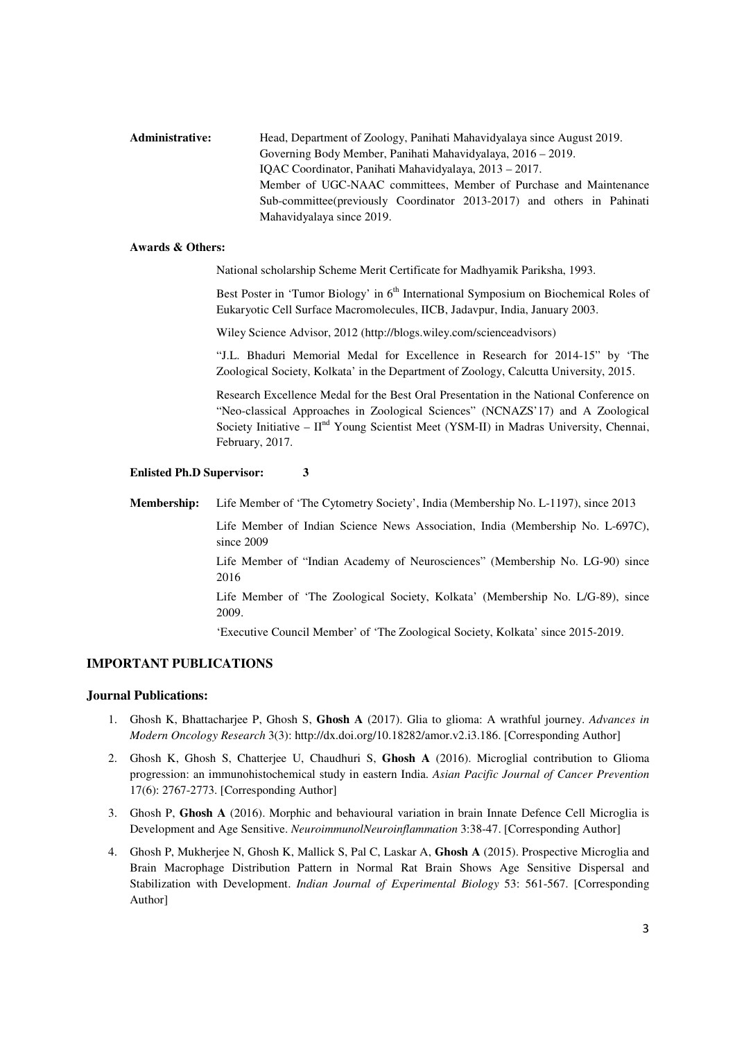**Administrative:** Head, Department of Zoology, Panihati Mahavidyalaya since August 2019. Governing Body Member, Panihati Mahavidyalaya, 2016 – 2019. IQAC Coordinator, Panihati Mahavidyalaya, 2013 – 2017. Member of UGC-NAAC committees, Member of Purchase and Maintenance Sub-committee(previously Coordinator 2013-2017) and others in Pahinati Mahavidyalaya since 2019.

#### **Awards & Others:**

National scholarship Scheme Merit Certificate for Madhyamik Pariksha, 1993.

Best Poster in 'Tumor Biology' in 6<sup>th</sup> International Symposium on Biochemical Roles of Eukaryotic Cell Surface Macromolecules, IICB, Jadavpur, India, January 2003.

Wiley Science Advisor, 2012 (http://blogs.wiley.com/scienceadvisors)

"J.L. Bhaduri Memorial Medal for Excellence in Research for 2014-15" by 'The Zoological Society, Kolkata' in the Department of Zoology, Calcutta University, 2015.

Research Excellence Medal for the Best Oral Presentation in the National Conference on "Neo-classical Approaches in Zoological Sciences" (NCNAZS'17) and A Zoological Society Initiative –  $II<sup>nd</sup>$  Young Scientist Meet (YSM-II) in Madras University, Chennai, February, 2017.

## **Enlisted Ph.D Supervisor: 3**

**Membership:** Life Member of 'The Cytometry Society', India (Membership No. L-1197), since 2013

Life Member of Indian Science News Association, India (Membership No. L-697C), since 2009

Life Member of "Indian Academy of Neurosciences" (Membership No. LG-90) since 2016

Life Member of 'The Zoological Society, Kolkata' (Membership No. L/G-89), since 2009.

'Executive Council Member' of 'The Zoological Society, Kolkata' since 2015-2019.

# **IMPORTANT PUBLICATIONS**

#### **Journal Publications:**

- 1. Ghosh K, Bhattacharjee P, Ghosh S, **Ghosh A** (2017). Glia to glioma: A wrathful journey. *Advances in Modern Oncology Research* 3(3): http://dx.doi.org/10.18282/amor.v2.i3.186. [Corresponding Author]
- 2. Ghosh K, Ghosh S, Chatterjee U, Chaudhuri S, **Ghosh A** (2016). Microglial contribution to Glioma progression: an immunohistochemical study in eastern India. *Asian Pacific Journal of Cancer Prevention* 17(6): 2767-2773. [Corresponding Author]
- 3. Ghosh P, **Ghosh A** (2016). Morphic and behavioural variation in brain Innate Defence Cell Microglia is Development and Age Sensitive. *NeuroimmunolNeuroinflammation* 3:38-47. [Corresponding Author]
- 4. Ghosh P, Mukherjee N, Ghosh K, Mallick S, Pal C, Laskar A, **Ghosh A** (2015). Prospective Microglia and Brain Macrophage Distribution Pattern in Normal Rat Brain Shows Age Sensitive Dispersal and Stabilization with Development. *Indian Journal of Experimental Biology* 53: 561-567. [Corresponding Author]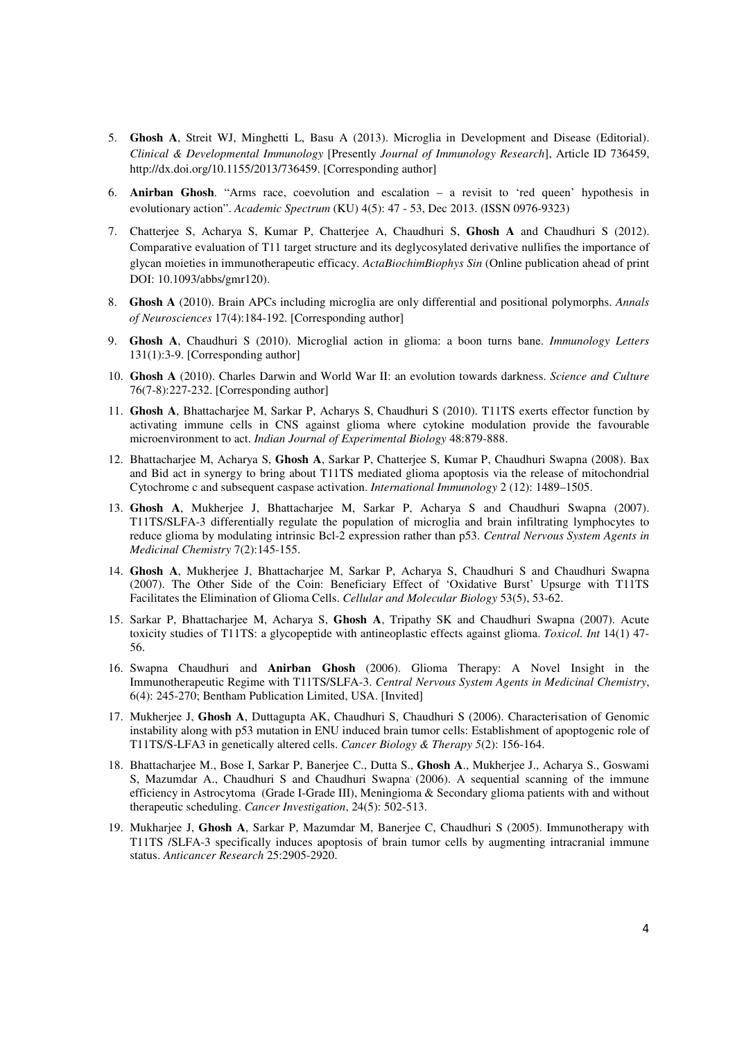- 5. **Ghosh A**, Streit WJ, Minghetti L, Basu A (2013). Microglia in Development and Disease (Editorial). *Clinical & Developmental Immunology* [Presently *Journal of Immunology Research*], Article ID 736459, http://dx.doi.org/10.1155/2013/736459. [Corresponding author]
- 6. **Anirban Ghosh**. "Arms race, coevolution and escalation a revisit to 'red queen' hypothesis in evolutionary action". *Academic Spectrum* (KU) 4(5): 47 - 53, Dec 2013. (ISSN 0976-9323)
- 7. Chatterjee S, Acharya S, Kumar P, Chatterjee A, Chaudhuri S, **Ghosh A** and Chaudhuri S (2012). Comparative evaluation of T11 target structure and its deglycosylated derivative nullifies the importance of glycan moieties in immunotherapeutic efficacy. *ActaBiochimBiophys Sin* (Online publication ahead of print DOI: 10.1093/abbs/gmr120).
- 8. **Ghosh A** (2010). Brain APCs including microglia are only differential and positional polymorphs. *Annals of Neurosciences* 17(4):184-192. [Corresponding author]
- 9. **Ghosh A**, Chaudhuri S (2010). Microglial action in glioma: a boon turns bane. *Immunology Letters* 131(1):3-9. [Corresponding author]
- 10. **Ghosh A** (2010). Charles Darwin and World War II: an evolution towards darkness. *Science and Culture* 76(7-8):227-232. [Corresponding author]
- 11. **Ghosh A**, Bhattacharjee M, Sarkar P, Acharys S, Chaudhuri S (2010). T11TS exerts effector function by activating immune cells in CNS against glioma where cytokine modulation provide the favourable microenvironment to act. *Indian Journal of Experimental Biology* 48:879-888.
- 12. Bhattacharjee M, Acharya S, **Ghosh A**, Sarkar P, Chatterjee S, Kumar P, Chaudhuri Swapna (2008). Bax and Bid act in synergy to bring about T11TS mediated glioma apoptosis via the release of mitochondrial Cytochrome c and subsequent caspase activation. *International Immunology* 2 (12): 1489–1505.
- 13. **Ghosh A**, Mukherjee J, Bhattacharjee M, Sarkar P, Acharya S and Chaudhuri Swapna (2007). T11TS/SLFA-3 differentially regulate the population of microglia and brain infiltrating lymphocytes to reduce glioma by modulating intrinsic Bcl-2 expression rather than p53. *Central Nervous System Agents in Medicinal Chemistry* 7(2):145-155.
- 14. **Ghosh A**, Mukherjee J, Bhattacharjee M, Sarkar P, Acharya S, Chaudhuri S and Chaudhuri Swapna (2007). The Other Side of the Coin: Beneficiary Effect of 'Oxidative Burst' Upsurge with T11TS Facilitates the Elimination of Glioma Cells. *Cellular and Molecular Biology* 53(5), 53-62.
- 15. Sarkar P, Bhattacharjee M, Acharya S, **Ghosh A**, Tripathy SK and Chaudhuri Swapna (2007). Acute toxicity studies of T11TS: a glycopeptide with antineoplastic effects against glioma. *Toxicol. Int* 14(1) 47- 56.
- 16. Swapna Chaudhuri and **Anirban Ghosh** (2006). Glioma Therapy: A Novel Insight in the Immunotherapeutic Regime with T11TS/SLFA-3. *Central Nervous System Agents in Medicinal Chemistry*, 6(4): 245-270; Bentham Publication Limited, USA. [Invited]
- 17. Mukherjee J, **Ghosh A**, Duttagupta AK, Chaudhuri S, Chaudhuri S (2006). Characterisation of Genomic instability along with p53 mutation in ENU induced brain tumor cells: Establishment of apoptogenic role of T11TS/S-LFA3 in genetically altered cells. *Cancer Biology & Therapy 5*(2): 156-164.
- 18. Bhattacharjee M., Bose I, Sarkar P, Banerjee C., Dutta S., **Ghosh A**., Mukherjee J., Acharya S., Goswami S, Mazumdar A., Chaudhuri S and Chaudhuri Swapna. (2006). A sequential scanning of the immune efficiency in Astrocytoma (Grade I-Grade III), Meningioma & Secondary glioma patients with and without therapeutic scheduling. *Cancer Investigation*, 24(5): 502-513.
- 19. Mukharjee J, **Ghosh A**, Sarkar P, Mazumdar M, Banerjee C, Chaudhuri S (2005). Immunotherapy with T11TS /SLFA-3 specifically induces apoptosis of brain tumor cells by augmenting intracranial immune status. *Anticancer Research* 25:2905-2920.